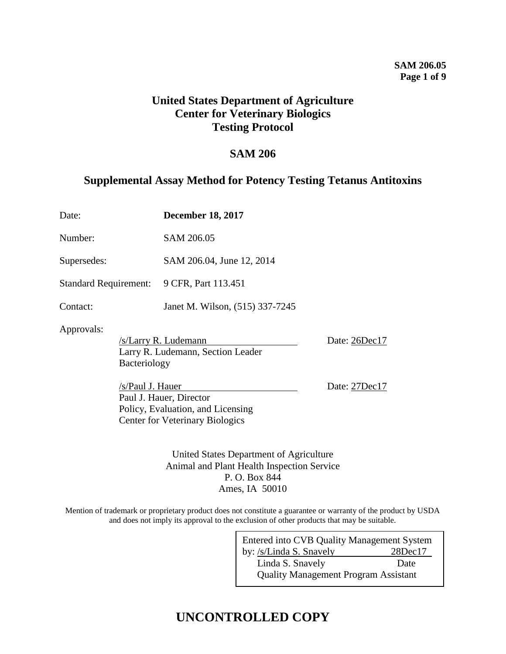#### **SAM 206.05 Page 1 of 9**

# **United States Department of Agriculture Center for Veterinary Biologics Testing Protocol**

# **SAM 206**

# **Supplemental Assay Method for Potency Testing Tetanus Antitoxins**

| Date:                        | <b>December 18, 2017</b>                                                                                                                                                                |                                |
|------------------------------|-----------------------------------------------------------------------------------------------------------------------------------------------------------------------------------------|--------------------------------|
| Number:                      | SAM 206.05                                                                                                                                                                              |                                |
| Supersedes:                  | SAM 206.04, June 12, 2014                                                                                                                                                               |                                |
| <b>Standard Requirement:</b> | 9 CFR, Part 113.451                                                                                                                                                                     |                                |
| Contact:                     | Janet M. Wilson, (515) 337-7245                                                                                                                                                         |                                |
| Approvals:<br>Bacteriology   | /s/Larry R. Ludemann<br>Larry R. Ludemann, Section Leader<br>/s/Paul J. Hauer<br>Paul J. Hauer, Director<br>Policy, Evaluation, and Licensing<br><b>Center for Veterinary Biologics</b> | Date: 26Dec17<br>Date: 27Dec17 |

United States Department of Agriculture Animal and Plant Health Inspection Service P. O. Box 844 Ames, IA 50010

Mention of trademark or proprietary product does not constitute a guarantee or warranty of the product by USDA and does not imply its approval to the exclusion of other products that may be suitable.

| <b>Entered into CVB Quality Management System</b> |               |  |  |
|---------------------------------------------------|---------------|--|--|
| by: /s/Linda S. Snavely                           | $28$ Dec $17$ |  |  |
| Linda S. Snavely                                  | Date          |  |  |
| <b>Quality Management Program Assistant</b>       |               |  |  |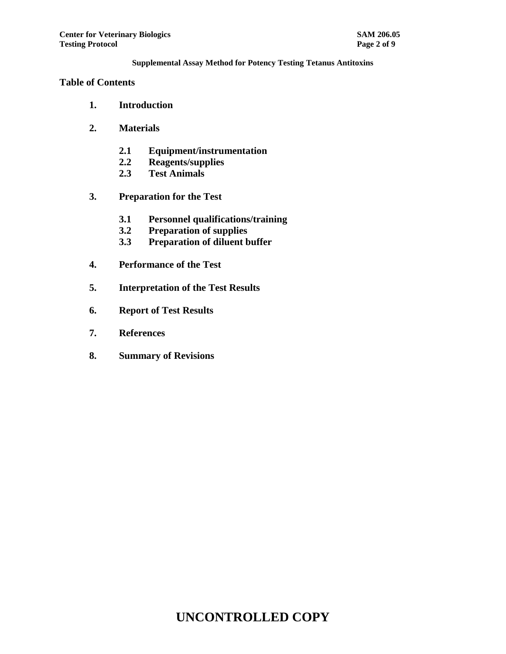#### **Table of Contents**

- **1. Introduction**
- **2. Materials**
	- **2.1 Equipment/instrumentation**
	- **2.2 Reagents/supplies**
	- **2.3 Test Animals**
- **3. Preparation for the Test**
	- **3.1 Personnel qualifications/training**
	- **3.2 Preparation of supplies**
	- **3.3 Preparation of diluent buffer**
- **4. Performance of the Test**
- **5. Interpretation of the Test Results**
- **6. Report of Test Results**
- **7. References**
- **8. Summary of Revisions**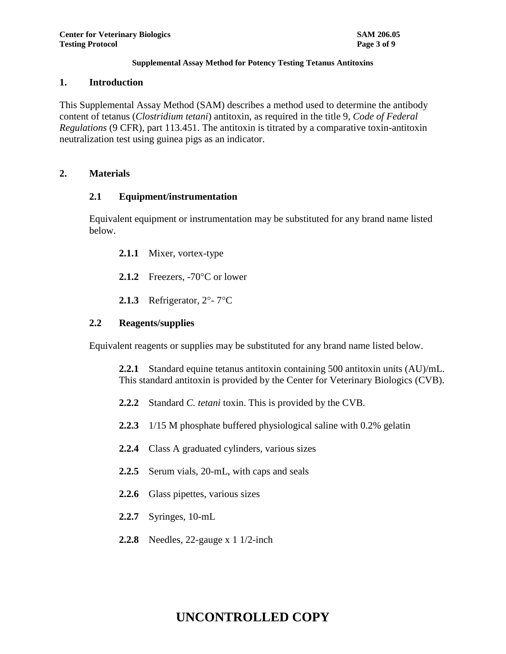#### **1. Introduction**

This Supplemental Assay Method (SAM) describes a method used to determine the antibody content of tetanus (*Clostridium tetani*) antitoxin, as required in the title 9, *Code of Federal Regulations* (9 CFR), part 113.451. The antitoxin is titrated by a comparative toxin-antitoxin neutralization test using guinea pigs as an indicator.

# **2. Materials**

# **2.1 Equipment/instrumentation**

Equivalent equipment or instrumentation may be substituted for any brand name listed below.

- **2.1.1** Mixer, vortex-type
- **2.1.2** Freezers, -70<sup>o</sup>C or lower
- **2.1.3** Refrigerator,  $2^{\circ}$   $7^{\circ}$ C

#### **2.2 Reagents/supplies**

Equivalent reagents or supplies may be substituted for any brand name listed below.

**2.2.1** Standard equine tetanus antitoxin containing 500 antitoxin units (AU)/mL. This standard antitoxin is provided by the Center for Veterinary Biologics (CVB).

- **2.2.2** Standard *C. tetani* toxin. This is provided by the CVB.
- **2.2.3** 1/15 M phosphate buffered physiological saline with 0.2% gelatin
- **2.2.4** Class A graduated cylinders, various sizes
- **2.2.5** Serum vials, 20-mL, with caps and seals
- **2.2.6** Glass pipettes, various sizes
- **2.2.7** Syringes, 10-mL
- **2.2.8** Needles, 22-gauge x 1 1/2-inch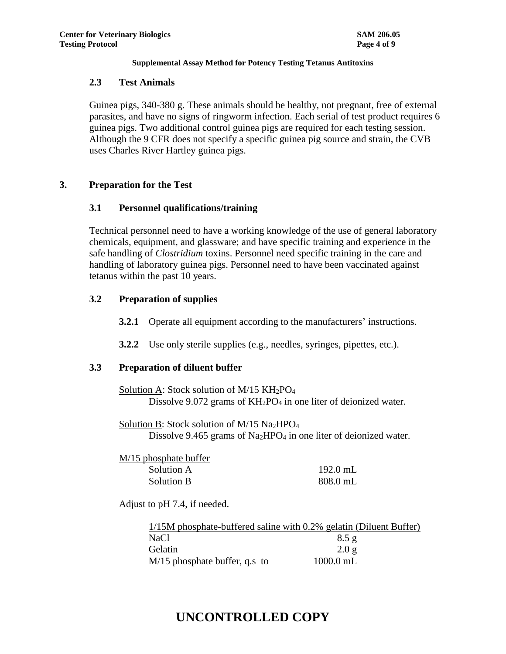#### **2.3 Test Animals**

Guinea pigs, 340-380 g. These animals should be healthy, not pregnant, free of external parasites, and have no signs of ringworm infection. Each serial of test product requires 6 guinea pigs. Two additional control guinea pigs are required for each testing session. Although the 9 CFR does not specify a specific guinea pig source and strain, the CVB uses Charles River Hartley guinea pigs.

#### **3. Preparation for the Test**

#### **3.1 Personnel qualifications/training**

Technical personnel need to have a working knowledge of the use of general laboratory chemicals, equipment, and glassware; and have specific training and experience in the safe handling of *Clostridium* toxins. Personnel need specific training in the care and handling of laboratory guinea pigs. Personnel need to have been vaccinated against tetanus within the past 10 years.

# **3.2 Preparation of supplies**

- **3.2.1** Operate all equipment according to the manufacturers' instructions.
- **3.2.2** Use only sterile supplies (e.g., needles, syringes, pipettes, etc.).

# **3.3 Preparation of diluent buffer**

Solution A: Stock solution of M/15 KH<sub>2</sub>PO<sub>4</sub> Dissolve 9.072 grams of KH<sub>2</sub>PO<sub>4</sub> in one liter of deionized water.

Solution B: Stock solution of  $M/15$  Na<sub>2</sub>HPO<sub>4</sub> Dissolve 9.465 grams of Na<sub>2</sub>HPO<sub>4</sub> in one liter of deionized water.

M/15 phosphate buffer Solution A 192.0 mL Solution B 808.0 mL

Adjust to pH 7.4, if needed.

|                                 | 1/15M phosphate-buffered saline with 0.2% gelatin (Diluent Buffer) |
|---------------------------------|--------------------------------------------------------------------|
| NaCl                            | 8.5g                                                               |
| <b>Gelatin</b>                  | 2.0 g                                                              |
| $M/15$ phosphate buffer, q.s to | $1000.0$ mL                                                        |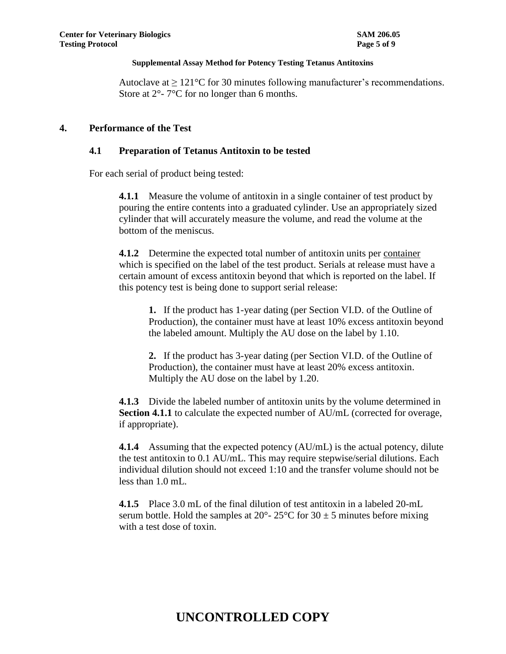Autoclave at  $\geq 121^{\circ}$ C for 30 minutes following manufacturer's recommendations. Store at  $2^{\circ}$ - 7°C for no longer than 6 months.

# **4. Performance of the Test**

#### **4.1 Preparation of Tetanus Antitoxin to be tested**

For each serial of product being tested:

**4.1.1** Measure the volume of antitoxin in a single container of test product by pouring the entire contents into a graduated cylinder. Use an appropriately sized cylinder that will accurately measure the volume, and read the volume at the bottom of the meniscus.

**4.1.2** Determine the expected total number of antitoxin units per container which is specified on the label of the test product. Serials at release must have a certain amount of excess antitoxin beyond that which is reported on the label. If this potency test is being done to support serial release:

**1.** If the product has 1-year dating (per Section VI.D. of the Outline of Production), the container must have at least 10% excess antitoxin beyond the labeled amount. Multiply the AU dose on the label by 1.10.

**2.** If the product has 3-year dating (per Section VI.D. of the Outline of Production), the container must have at least 20% excess antitoxin. Multiply the AU dose on the label by 1.20.

**4.1.3** Divide the labeled number of antitoxin units by the volume determined in **Section 4.1.1** to calculate the expected number of AU/mL (corrected for overage, if appropriate).

**4.1.4** Assuming that the expected potency (AU/mL) is the actual potency, dilute the test antitoxin to 0.1 AU/mL. This may require stepwise/serial dilutions. Each individual dilution should not exceed 1:10 and the transfer volume should not be less than 1.0 mL.

**4.1.5** Place 3.0 mL of the final dilution of test antitoxin in a labeled 20-mL serum bottle. Hold the samples at 20<sup>o</sup>- 25<sup>o</sup>C for 30  $\pm$  5 minutes before mixing with a test dose of toxin.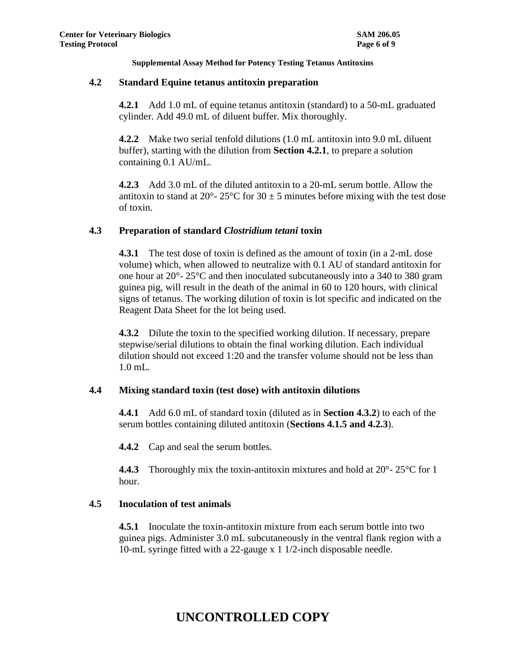#### **4.2 Standard Equine tetanus antitoxin preparation**

**4.2.1** Add 1.0 mL of equine tetanus antitoxin (standard) to a 50-mL graduated cylinder. Add 49.0 mL of diluent buffer. Mix thoroughly.

**4.2.2** Make two serial tenfold dilutions (1.0 mL antitoxin into 9.0 mL diluent buffer), starting with the dilution from **Section 4.2.1**, to prepare a solution containing 0.1 AU/mL.

**4.2.3** Add 3.0 mL of the diluted antitoxin to a 20-mL serum bottle. Allow the antitoxin to stand at  $20^{\circ}$ -  $25^{\circ}$ C for  $30 \pm 5$  minutes before mixing with the test dose of toxin.

# **4.3 Preparation of standard** *Clostridium tetani* **toxin**

**4.3.1** The test dose of toxin is defined as the amount of toxin (in a 2-mL dose volume) which, when allowed to neutralize with 0.1 AU of standard antitoxin for one hour at  $20^{\circ}$ -  $25^{\circ}$ C and then inoculated subcutaneously into a 340 to 380 gram guinea pig, will result in the death of the animal in 60 to 120 hours, with clinical signs of tetanus. The working dilution of toxin is lot specific and indicated on the Reagent Data Sheet for the lot being used.

**4.3.2** Dilute the toxin to the specified working dilution. If necessary, prepare stepwise/serial dilutions to obtain the final working dilution. Each individual dilution should not exceed 1:20 and the transfer volume should not be less than 1.0 mL.

#### **4.4 Mixing standard toxin (test dose) with antitoxin dilutions**

**4.4.1** Add 6.0 mL of standard toxin (diluted as in **Section 4.3.2**) to each of the serum bottles containing diluted antitoxin (**Sections 4.1.5 and 4.2.3**).

**4.4.2** Cap and seal the serum bottles.

**4.4.3** Thoroughly mix the toxin-antitoxin mixtures and hold at 20°-25°C for 1 hour.

# **4.5 Inoculation of test animals**

**4.5.1** Inoculate the toxin-antitoxin mixture from each serum bottle into two guinea pigs. Administer 3.0 mL subcutaneously in the ventral flank region with a 10-mL syringe fitted with a 22-gauge x 1 1/2-inch disposable needle.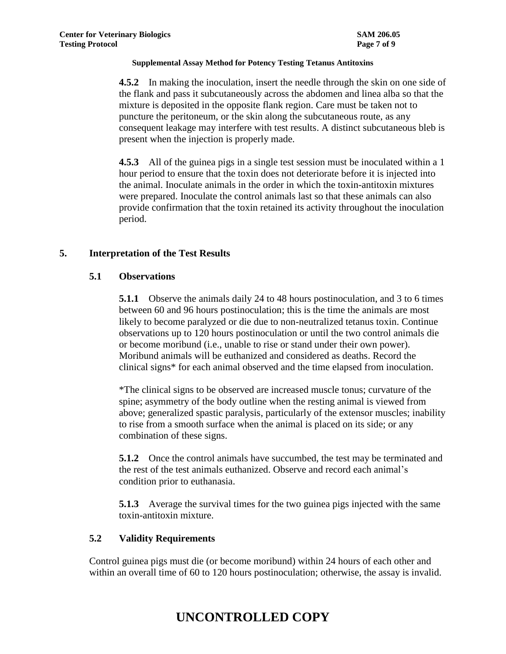**4.5.2** In making the inoculation, insert the needle through the skin on one side of the flank and pass it subcutaneously across the abdomen and linea alba so that the mixture is deposited in the opposite flank region. Care must be taken not to puncture the peritoneum, or the skin along the subcutaneous route, as any consequent leakage may interfere with test results. A distinct subcutaneous bleb is present when the injection is properly made.

**4.5.3** All of the guinea pigs in a single test session must be inoculated within a 1 hour period to ensure that the toxin does not deteriorate before it is injected into the animal. Inoculate animals in the order in which the toxin-antitoxin mixtures were prepared. Inoculate the control animals last so that these animals can also provide confirmation that the toxin retained its activity throughout the inoculation period.

# **5. Interpretation of the Test Results**

# **5.1 Observations**

**5.1.1** Observe the animals daily 24 to 48 hours postinoculation, and 3 to 6 times between 60 and 96 hours postinoculation; this is the time the animals are most likely to become paralyzed or die due to non-neutralized tetanus toxin. Continue observations up to 120 hours postinoculation or until the two control animals die or become moribund (i.e., unable to rise or stand under their own power). Moribund animals will be euthanized and considered as deaths. Record the clinical signs\* for each animal observed and the time elapsed from inoculation.

\*The clinical signs to be observed are increased muscle tonus; curvature of the spine; asymmetry of the body outline when the resting animal is viewed from above; generalized spastic paralysis, particularly of the extensor muscles; inability to rise from a smooth surface when the animal is placed on its side; or any combination of these signs.

**5.1.2** Once the control animals have succumbed, the test may be terminated and the rest of the test animals euthanized. Observe and record each animal's condition prior to euthanasia.

**5.1.3** Average the survival times for the two guinea pigs injected with the same toxin-antitoxin mixture.

# **5.2 Validity Requirements**

Control guinea pigs must die (or become moribund) within 24 hours of each other and within an overall time of 60 to 120 hours postinoculation; otherwise, the assay is invalid.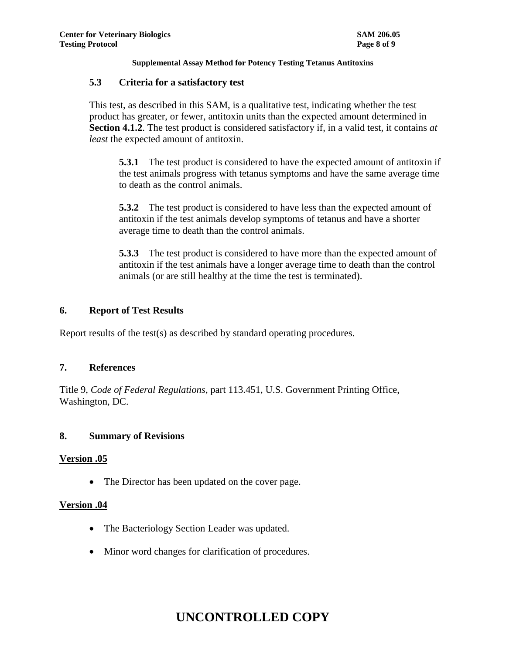#### **5.3 Criteria for a satisfactory test**

This test, as described in this SAM, is a qualitative test, indicating whether the test product has greater, or fewer, antitoxin units than the expected amount determined in **Section 4.1.2**. The test product is considered satisfactory if, in a valid test, it contains *at least* the expected amount of antitoxin.

**5.3.1** The test product is considered to have the expected amount of antitoxin if the test animals progress with tetanus symptoms and have the same average time to death as the control animals.

**5.3.2** The test product is considered to have less than the expected amount of antitoxin if the test animals develop symptoms of tetanus and have a shorter average time to death than the control animals.

**5.3.3** The test product is considered to have more than the expected amount of antitoxin if the test animals have a longer average time to death than the control animals (or are still healthy at the time the test is terminated).

#### **6. Report of Test Results**

Report results of the test(s) as described by standard operating procedures.

#### **7. References**

Title 9, *Code of Federal Regulations*, part 113.451, U.S. Government Printing Office, Washington, DC.

# **8. Summary of Revisions**

#### **Version .05**

• The Director has been updated on the cover page.

# **Version .04**

- The Bacteriology Section Leader was updated.
- Minor word changes for clarification of procedures.